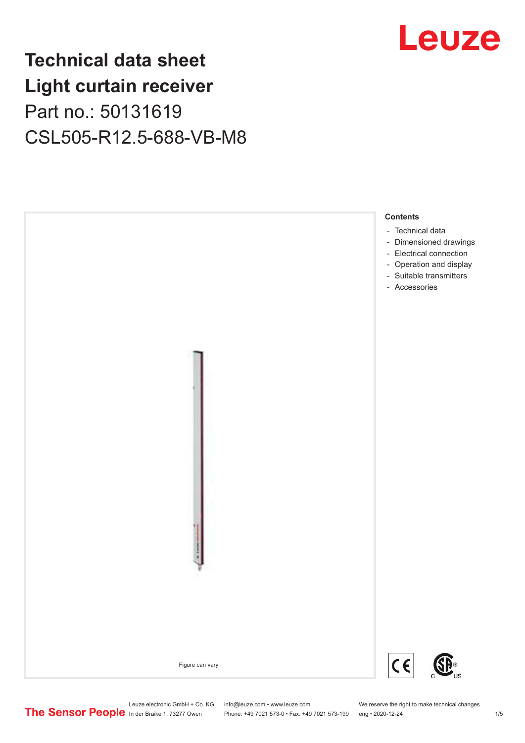## **Technical data sheet Light curtain receiver** Part no.: 50131619 CSL505-R12.5-688-VB-M8





Leuze electronic GmbH + Co. KG info@leuze.com • www.leuze.com We reserve the right to make technical changes<br>
The Sensor People in der Braike 1, 73277 Owen Phone: +49 7021 573-0 • Fax: +49 7021 573-199 eng • 2020-12-24 Phone: +49 7021 573-0 • Fax: +49 7021 573-199 eng • 2020-12-24 1 2020-12-24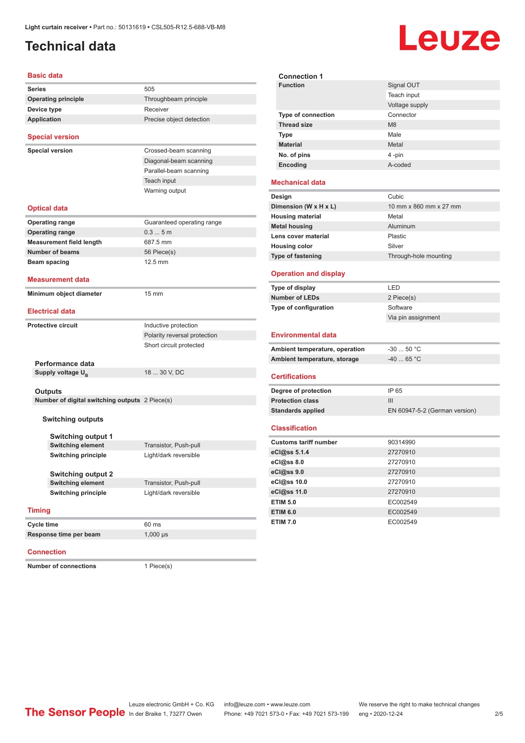### <span id="page-1-0"></span>**Technical data**

# **Leuze**

#### **Basic data**

| Basic data                                     |                              | <b>Connection 1</b>                             |                             |
|------------------------------------------------|------------------------------|-------------------------------------------------|-----------------------------|
| Series                                         | 505                          | <b>Function</b>                                 | Signal OU1                  |
| <b>Operating principle</b>                     | Throughbeam principle        |                                                 | Teach inpu                  |
| Device type                                    | Receiver                     |                                                 | Voltage sup                 |
| <b>Application</b>                             | Precise object detection     | <b>Type of connection</b><br><b>Thread size</b> | Connector<br>M <sub>8</sub> |
|                                                |                              | <b>Type</b>                                     | Male                        |
| <b>Special version</b>                         |                              | <b>Material</b>                                 | Metal                       |
| <b>Special version</b>                         | Crossed-beam scanning        | No. of pins                                     | 4 -pin                      |
|                                                | Diagonal-beam scanning       | Encoding                                        | A-coded                     |
|                                                | Parallel-beam scanning       |                                                 |                             |
|                                                | Teach input                  | <b>Mechanical data</b>                          |                             |
|                                                | Warning output               | Design                                          | Cubic                       |
| <b>Optical data</b>                            |                              | Dimension (W x H x L)                           | 10 mm x 86                  |
|                                                |                              | <b>Housing material</b>                         | Metal                       |
| <b>Operating range</b>                         | Guaranteed operating range   | <b>Metal housing</b>                            | Aluminum                    |
| <b>Operating range</b>                         | 0.35m                        | Lens cover material                             | Plastic                     |
| <b>Measurement field length</b>                | 687.5 mm                     | <b>Housing color</b>                            | Silver                      |
| <b>Number of beams</b>                         | 56 Piece(s)                  | <b>Type of fastening</b>                        | Through-ho                  |
| Beam spacing                                   | 12.5 mm                      |                                                 |                             |
| <b>Measurement data</b>                        |                              | <b>Operation and display</b>                    |                             |
|                                                |                              | Type of display                                 | LED                         |
| Minimum object diameter                        | $15 \text{ mm}$              | <b>Number of LEDs</b>                           | 2 Piece(s)                  |
| <b>Electrical data</b>                         |                              | Type of configuration                           | Software                    |
|                                                |                              |                                                 | Via pin ass                 |
| <b>Protective circuit</b>                      | Inductive protection         |                                                 |                             |
|                                                | Polarity reversal protection | <b>Environmental data</b>                       |                             |
|                                                | Short circuit protected      | Ambient temperature, operation                  | $-30$ 50 $^{\circ}$ (       |
| Performance data                               |                              | Ambient temperature, storage                    | -40  65 ° (                 |
| Supply voltage U <sub>B</sub>                  | 18  30 V, DC                 | <b>Certifications</b>                           |                             |
|                                                |                              |                                                 |                             |
| <b>Outputs</b>                                 |                              | Degree of protection                            | IP 65                       |
| Number of digital switching outputs 2 Piece(s) |                              | <b>Protection class</b>                         | III                         |
|                                                |                              | <b>Standards applied</b>                        | EN 60947-                   |
| <b>Switching outputs</b>                       |                              | <b>Classification</b>                           |                             |
| <b>Switching output 1</b>                      |                              |                                                 |                             |
| <b>Switching element</b>                       | Transistor, Push-pull        | <b>Customs tariff number</b>                    | 90314990                    |
| <b>Switching principle</b>                     | Light/dark reversible        | eCl@ss 5.1.4                                    | 27270910                    |
|                                                |                              | eCl@ss 8.0                                      | 27270910                    |
| <b>Switching output 2</b>                      |                              | eCl@ss 9.0                                      | 27270910                    |
| <b>Switching element</b>                       | Transistor, Push-pull        | eCl@ss 10.0                                     | 27270910                    |
| <b>Switching principle</b>                     | Light/dark reversible        | eCl@ss 11.0                                     | 27270910                    |
|                                                |                              | <b>ETIM 5.0</b>                                 | EC002549                    |
| <b>Timing</b>                                  |                              | <b>ETIM 6.0</b>                                 | EC002549                    |
| Cycle time                                     | 60 ms                        | <b>ETIM 7.0</b>                                 | EC002549                    |
| Response time per beam                         | $1,000 \,\mu s$              |                                                 |                             |
|                                                |                              |                                                 |                             |

#### **Connection**

**Number of connections** 1 Piece(s)

| <b>Function</b>                          | Signal OUT                    |
|------------------------------------------|-------------------------------|
|                                          | Teach input                   |
|                                          | Voltage supply                |
| Type of connection                       | Connector                     |
| <b>Thread size</b>                       | M <sub>8</sub>                |
| <b>Type</b>                              | Male                          |
| <b>Material</b>                          | Metal                         |
| No. of pins                              | 4-pin                         |
| Encoding                                 | A-coded                       |
|                                          |                               |
| <b>Mechanical data</b>                   |                               |
| Design                                   | Cubic                         |
| Dimension (W x H x L)                    | 10 mm x 860 mm x 27 mm        |
| <b>Housing material</b>                  | Metal                         |
| <b>Metal housing</b>                     | Aluminum                      |
| Lens cover material                      | Plastic                       |
| <b>Housing color</b>                     | Silver                        |
| Type of fastening                        | Through-hole mounting         |
| <b>Operation and display</b>             |                               |
|                                          | LED                           |
| Type of display<br><b>Number of LEDs</b> | 2 Piece(s)                    |
|                                          | Software                      |
| Type of configuration                    | Via pin assignment            |
|                                          |                               |
| <b>Environmental data</b>                |                               |
| Ambient temperature, operation           | $-30$ 50 °C                   |
| Ambient temperature, storage             | $-4065 °C$                    |
|                                          |                               |
| <b>Certifications</b>                    |                               |
| Degree of protection                     | IP 65                         |
| <b>Protection class</b>                  | III                           |
| <b>Standards applied</b>                 | EN 60947-5-2 (German version) |
| <b>Classification</b>                    |                               |
| <b>Customs tariff number</b>             | 90314990                      |
| eCl@ss 5.1.4                             | 27270910                      |
| eCl@ss 8.0                               | 27270910                      |
| eCl@ss 9.0                               | 27270910                      |
| eCl@ss 10.0                              | 27270910                      |
| eCl@ss 11.0                              | 27270910                      |
|                                          |                               |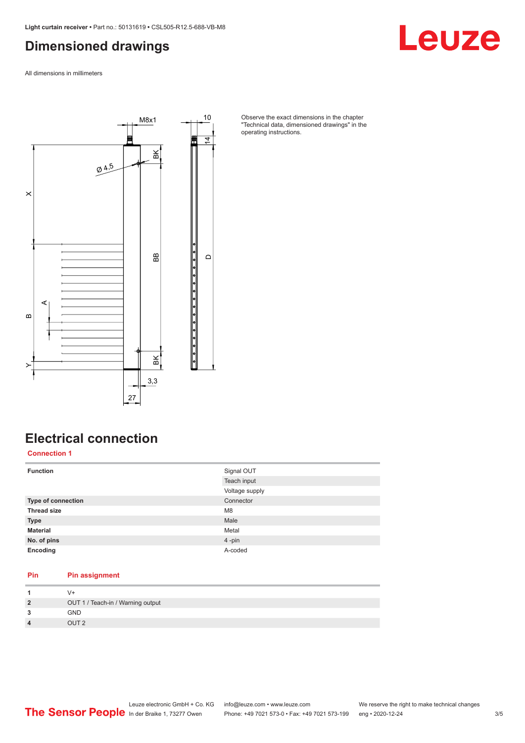#### <span id="page-2-0"></span>**Dimensioned drawings**

Leuze

All dimensions in millimeters



Observe the exact dimensions in the chapter "Technical data, dimensioned drawings" in the operating instructions.

### **Electrical connection**

**Connection 1**

| <b>Function</b>           | Signal OUT     |
|---------------------------|----------------|
|                           | Teach input    |
|                           | Voltage supply |
| <b>Type of connection</b> | Connector      |
| <b>Thread size</b>        | M <sub>8</sub> |
| <b>Type</b>               | Male           |
| <b>Material</b>           | Metal          |
| No. of pins               | 4-pin          |
| Encoding                  | A-coded        |

#### **Pin Pin assignment**

| $\overline{2}$          | OUT 1 / Teach-in / Warning output |
|-------------------------|-----------------------------------|
| 3                       | GND                               |
| $\overline{\mathbf{A}}$ | OUT <sub>2</sub>                  |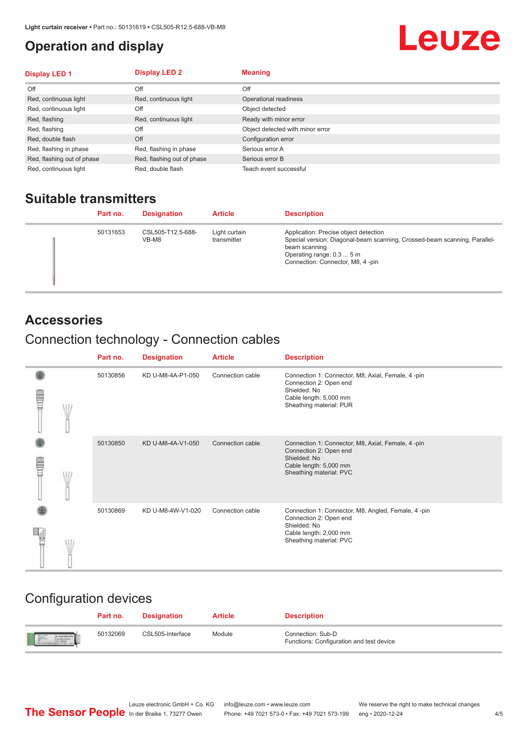#### <span id="page-3-0"></span>**Operation and display**

## Leuze

| <b>Display LED 1</b>       | <b>Display LED 2</b>       | <b>Meaning</b>                   |
|----------------------------|----------------------------|----------------------------------|
| Off                        | Off                        | Off                              |
| Red, continuous light      | Red, continuous light      | Operational readiness            |
| Red, continuous light      | Off                        | Object detected                  |
| Red, flashing              | Red, continuous light      | Ready with minor error           |
| Red, flashing              | Off                        | Object detected with minor error |
| Red, double flash          | Off                        | Configuration error              |
| Red, flashing in phase     | Red, flashing in phase     | Serious error A                  |
| Red, flashing out of phase | Red, flashing out of phase | Serious error B                  |
| Red, continuous light      | Red, double flash          | Teach event successful           |

#### **Suitable transmitters**

| Part no. | <b>Designation</b>         | <b>Article</b>               | <b>Description</b>                                                                                                                                                                                   |
|----------|----------------------------|------------------------------|------------------------------------------------------------------------------------------------------------------------------------------------------------------------------------------------------|
| 50131653 | CSL505-T12.5-688-<br>VB-M8 | Light curtain<br>transmitter | Application: Precise object detection<br>Special version: Diagonal-beam scanning, Crossed-beam scanning, Parallel-<br>beam scanning<br>Operating range: 0.3  5 m<br>Connection: Connector, M8, 4-pin |

#### **Accessories**

## Connection technology - Connection cables

|   | Part no. | <b>Designation</b> | <b>Article</b>   | <b>Description</b>                                                                                                                                |
|---|----------|--------------------|------------------|---------------------------------------------------------------------------------------------------------------------------------------------------|
| Ī | 50130856 | KD U-M8-4A-P1-050  | Connection cable | Connection 1: Connector, M8, Axial, Female, 4-pin<br>Connection 2: Open end<br>Shielded: No<br>Cable length: 5,000 mm<br>Sheathing material: PUR  |
|   | 50130850 | KD U-M8-4A-V1-050  | Connection cable | Connection 1: Connector, M8, Axial, Female, 4 -pin<br>Connection 2: Open end<br>Shielded: No<br>Cable length: 5,000 mm<br>Sheathing material: PVC |
|   | 50130869 | KD U-M8-4W-V1-020  | Connection cable | Connection 1: Connector, M8, Angled, Female, 4-pin<br>Connection 2: Open end<br>Shielded: No<br>Cable length: 2,000 mm<br>Sheathing material: PVC |

### Configuration devices

|                          | Part no. | <b>Designation</b> | <b>Article</b> | <b>Description</b>                                            |
|--------------------------|----------|--------------------|----------------|---------------------------------------------------------------|
| <b>Expertise Service</b> | 50132069 | CSL505-Interface   | Module         | Connection: Sub-D<br>Functions: Configuration and test device |